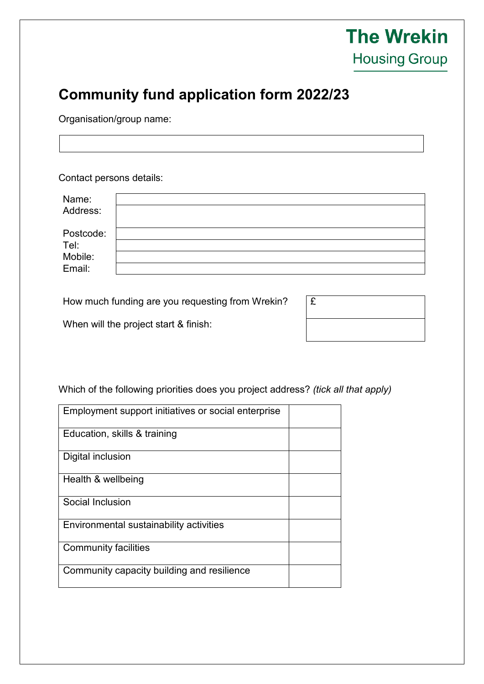## **The Wrekin Housing Group**

## **Community fund application form 2022/23**

Organisation/group name:

Contact persons details:

How much funding are you requesting from Wrekin?

When will the project start & finish:

| £ |  |  |  |
|---|--|--|--|
|   |  |  |  |

## Which of the following priorities does you project address? *(tick all that apply)*

| Employment support initiatives or social enterprise |  |
|-----------------------------------------------------|--|
|                                                     |  |
|                                                     |  |
| Education, skills & training                        |  |
|                                                     |  |
| Digital inclusion                                   |  |
|                                                     |  |
|                                                     |  |
| Health & wellbeing                                  |  |
|                                                     |  |
|                                                     |  |
| Social Inclusion                                    |  |
|                                                     |  |
| Environmental sustainability activities             |  |
|                                                     |  |
|                                                     |  |
| <b>Community facilities</b>                         |  |
|                                                     |  |
|                                                     |  |
| Community capacity building and resilience          |  |
|                                                     |  |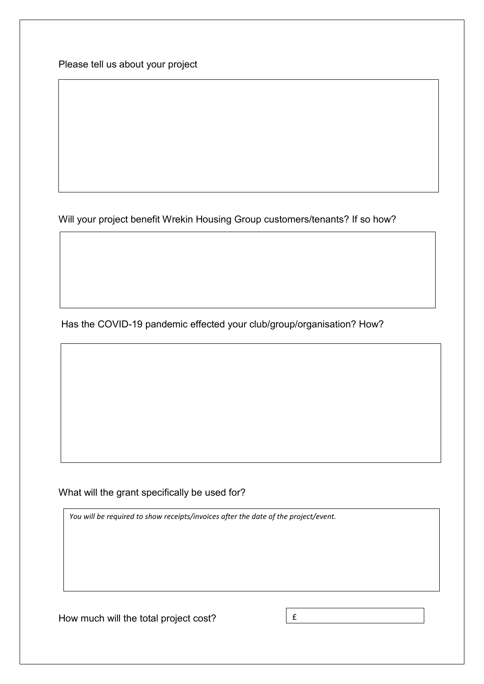Please tell us about your project

Will your project benefit Wrekin Housing Group customers/tenants? If so how?

Has the COVID-19 pandemic effected your club/group/organisation? How?

What will the grant specifically be used for?

*You will be required to show receipts/invoices after the date of the project/event.*

How much will the total project cost?

£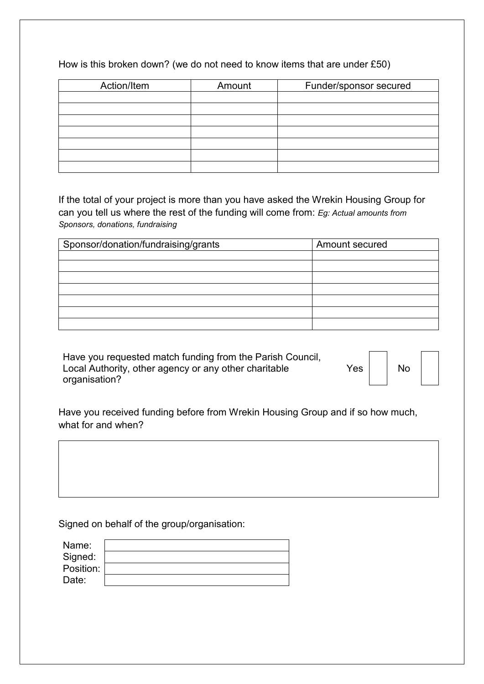|  | How is this broken down? (we do not need to know items that are under $£50$ ) |  |
|--|-------------------------------------------------------------------------------|--|
|--|-------------------------------------------------------------------------------|--|

| Action/Item | Amount | Funder/sponsor secured |
|-------------|--------|------------------------|
|             |        |                        |
|             |        |                        |
|             |        |                        |
|             |        |                        |
|             |        |                        |
|             |        |                        |
|             |        |                        |

If the total of your project is more than you have asked the Wrekin Housing Group for can you tell us where the rest of the funding will come from: *Eg: Actual amounts from Sponsors, donations, fundraising* 

| Sponsor/donation/fundraising/grants | Amount secured |
|-------------------------------------|----------------|
|                                     |                |
|                                     |                |
|                                     |                |
|                                     |                |
|                                     |                |
|                                     |                |
|                                     |                |

Have you requested match funding from the Parish Council, Local Authority, other agency or any other charitable organisation?

 $Yes \mid \cdot \mid No$ 

Have you received funding before from Wrekin Housing Group and if so how much, what for and when?

Signed on behalf of the group/organisation:

| Name:     |  |
|-----------|--|
| Signed:   |  |
| Position: |  |
| Date:     |  |